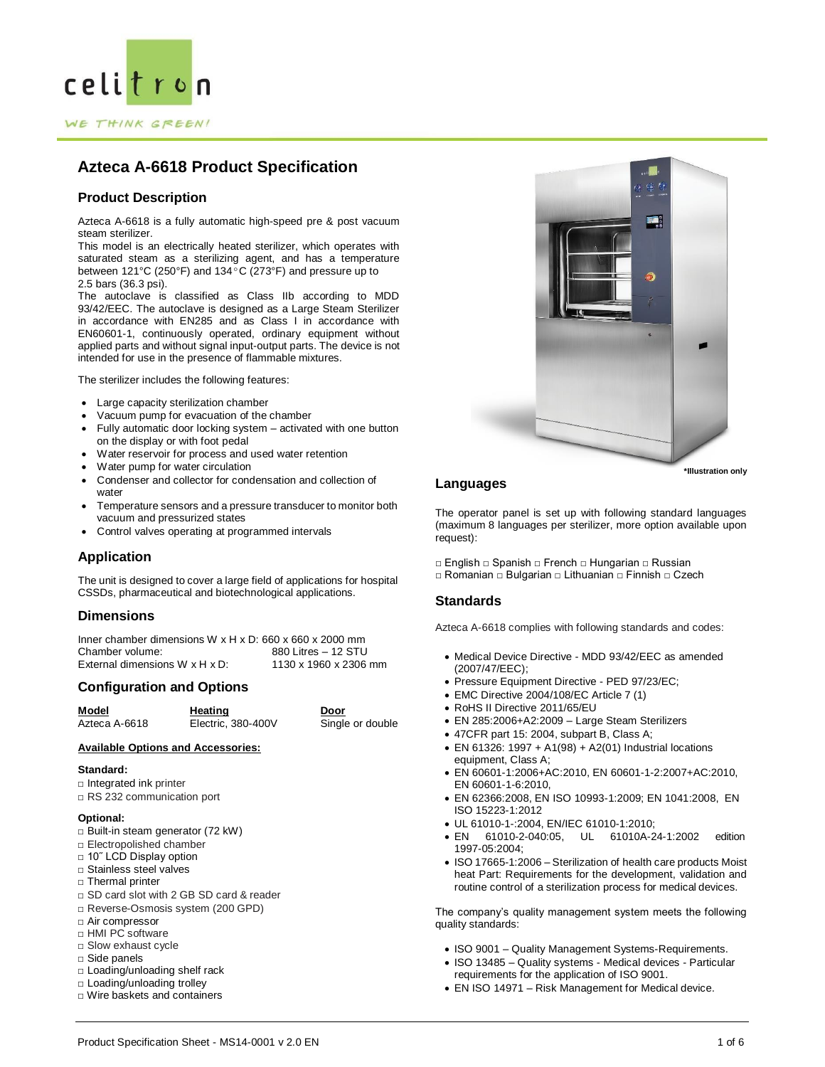

# **Product Description**

Azteca A-6618 is a fully automatic high-speed pre & post vacuum steam sterilizer.

This model is an electrically heated sterilizer, which operates with saturated steam as a sterilizing agent, and has a temperature between 121°C (250°F) and 134ºC (273°F) and pressure up to 2.5 bars (36.3 psi).

The autoclave is classified as Class IIb according to MDD 93/42/EEC. The autoclave is designed as a Large Steam Sterilizer in accordance with EN285 and as Class I in accordance with EN60601-1, continuously operated, ordinary equipment without applied parts and without signal input-output parts. The device is not intended for use in the presence of flammable mixtures.

The sterilizer includes the following features:

- Large capacity sterilization chamber
- Vacuum pump for evacuation of the chamber
- Fully automatic door locking system activated with one button on the display or with foot pedal
- Water reservoir for process and used water retention
- Water pump for water circulation
- Condenser and collector for condensation and collection of water
- Temperature sensors and a pressure transducer to monitor both vacuum and pressurized states
- Control valves operating at programmed intervals

# **Application**

The unit is designed to cover a large field of applications for hospital CSSDs, pharmaceutical and biotechnological applications.

# **Dimensions**

Inner chamber dimensions W x H x D: 660 x 660 x 2000 mm<br>Chamber volume: 880 Litres - 12 STU 880 Litres – 12 STU External dimensions  $W \times H \times D$ : 1130 x 1960 x 2306 mm

# **Configuration and Options**

| Model         | Heating            | Door             |
|---------------|--------------------|------------------|
| Azteca A-6618 | Electric, 380-400V | Single or double |

## **Available Options and Accessories:**

### **Standard:**

- □ Integrated ink printer
- □ RS 232 communication port

## **Optional:**

- □ Built-in steam generator (72 kW)
- □ Electropolished chamber
- □ 10" LCD Display option
- □ Stainless steel valves
- □ Thermal printer
- □ SD card slot with 2 GB SD card & reader
- □ Reverse-Osmosis system (200 GPD)
- □ Air compressor
- □ HMI PC software
- □ Slow exhaust cycle
- □ Side panels
- □ Loading/unloading shelf rack
- □ Loading/unloading trolley
- □ Wire baskets and containers



# **Languages**

The operator panel is set up with following standard languages (maximum 8 languages per sterilizer, more option available upon request):

- □ English □ Spanish □ French □ Hungarian □ Russian
- □ Romanian □ Bulgarian □ Lithuanian □ Finnish □ Czech

# **Standards**

Azteca A-6618 complies with following standards and codes:

- Medical Device Directive MDD 93/42/EEC as amended (2007/47/EEC);
- Pressure Equipment Directive PED 97/23/EC;
- EMC Directive 2004/108/EC Article 7 (1)
- RoHS II Directive 2011/65/EU
- EN 285:2006+A2:2009 Large Steam Sterilizers
- 47CFR part 15: 2004, subpart B, Class A;
- $\bullet$  EN 61326: 1997 + A1(98) + A2(01) Industrial locations equipment, Class A;
- EN 60601-1:2006+AC:2010, EN 60601-1-2:2007+AC:2010, EN 60601-1-6:2010,
- EN 62366:2008, EN ISO 10993-1:2009; EN 1041:2008, EN ISO 15223-1:2012
- UL 61010-1-:2004, EN/IEC 61010-1:2010;
- EN 61010-2-040:05, UL 61010A-24-1:2002 edition 1997-05:2004;
- ISO 17665-1:2006 Sterilization of health care products Moist heat Part: Requirements for the development, validation and routine control of a sterilization process for medical devices.

The company's quality management system meets the following quality standards:

- ISO 9001 Quality Management Systems-Requirements.
- ISO 13485 Quality systems Medical devices Particular requirements for the application of ISO 9001.
- EN ISO 14971 Risk Management for Medical device.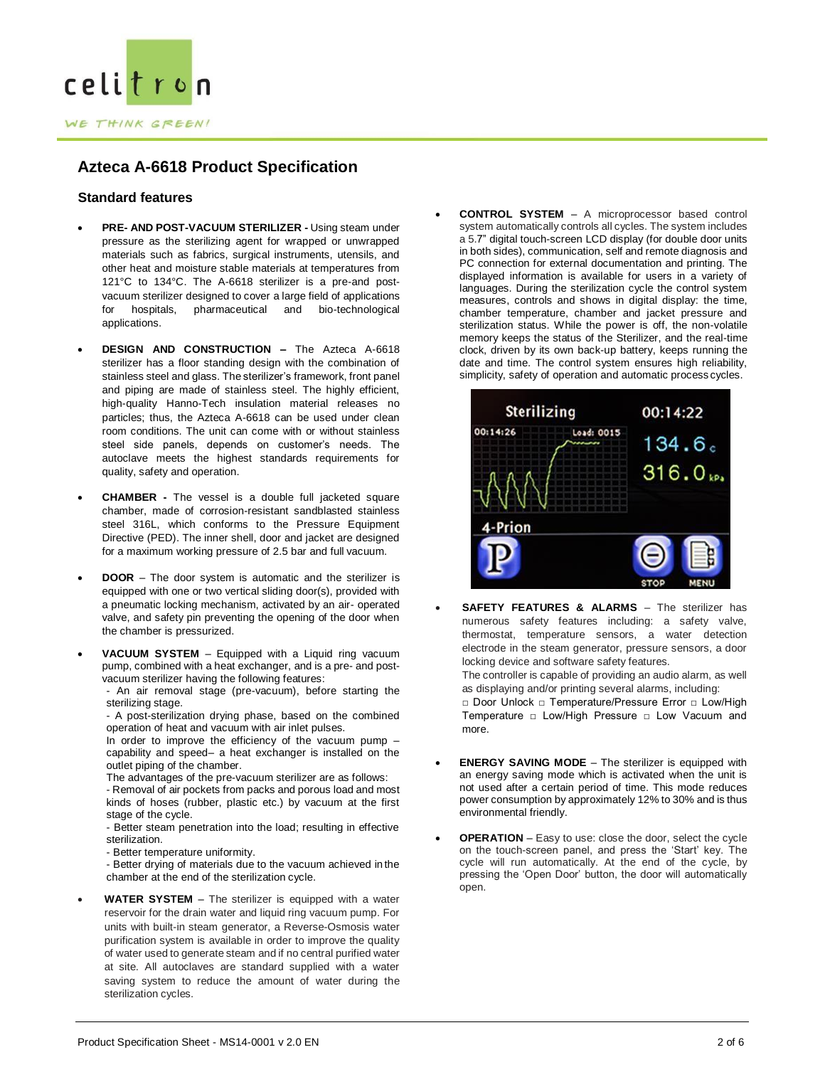

# **Standard features**

- **PRE- AND POST-VACUUM STERILIZER -** Using steam under pressure as the sterilizing agent for wrapped or unwrapped materials such as fabrics, surgical instruments, utensils, and other heat and moisture stable materials at temperatures from 121°C to 134°C. The A-6618 sterilizer is a pre-and postvacuum sterilizer designed to cover a large field of applications for hospitals, pharmaceutical and bio-technological applications.
- **DESIGN AND CONSTRUCTION –** The Azteca A-6618 sterilizer has a floor standing design with the combination of stainless steel and glass. The sterilizer's framework, front panel and piping are made of stainless steel. The highly efficient, high-quality Hanno-Tech insulation material releases no particles; thus, the Azteca A-6618 can be used under clean room conditions. The unit can come with or without stainless steel side panels, depends on customer's needs. The autoclave meets the highest standards requirements for quality, safety and operation.
- **CHAMBER -** The vessel is a double full jacketed square chamber, made of corrosion-resistant sandblasted stainless steel 316L, which conforms to the Pressure Equipment Directive (PED). The inner shell, door and jacket are designed for a maximum working pressure of 2.5 bar and full vacuum.
- **DOOR**  The door system is automatic and the sterilizer is equipped with one or two vertical sliding door(s), provided with a pneumatic locking mechanism, activated by an air- operated valve, and safety pin preventing the opening of the door when the chamber is pressurized.
- **VACUUM SYSTEM**  Equipped with a Liquid ring vacuum pump, combined with a heat exchanger, and is a pre- and postvacuum sterilizer having the following features:

- An air removal stage (pre-vacuum), before starting the sterilizing stage.

- A post-sterilization drying phase, based on the combined operation of heat and vacuum with air inlet pulses.

In order to improve the efficiency of the vacuum pump – capability and speed– a heat exchanger is installed on the outlet piping of the chamber.

The advantages of the pre-vacuum sterilizer are as follows:

- Removal of air pockets from packs and porous load and most kinds of hoses (rubber, plastic etc.) by vacuum at the first stage of the cycle.

- Better steam penetration into the load; resulting in effective sterilization.

- Better temperature uniformity.

- Better drying of materials due to the vacuum achieved in the chamber at the end of the sterilization cycle.

 **WATER SYSTEM** – The sterilizer is equipped with a water reservoir for the drain water and liquid ring vacuum pump. For units with built-in steam generator, a Reverse-Osmosis water purification system is available in order to improve the quality of water used to generate steam and if no central purified water at site. All autoclaves are standard supplied with a water saving system to reduce the amount of water during the sterilization cycles.

 **CONTROL SYSTEM** – A microprocessor based control system automatically controls all cycles. The system includes a 5.7" digital touch-screen LCD display (for double door units in both sides), communication, self and remote diagnosis and PC connection for external documentation and printing. The displayed information is available for users in a variety of languages. During the sterilization cycle the control system measures, controls and shows in digital display: the time, chamber temperature, chamber and jacket pressure and sterilization status. While the power is off, the non-volatile memory keeps the status of the Sterilizer, and the real-time clock, driven by its own back-up battery, keeps running the date and time. The control system ensures high reliability, simplicity, safety of operation and automatic process cycles.



**SAFETY FEATURES & ALARMS** - The sterilizer has numerous safety features including: a safety valve, thermostat, temperature sensors, a water detection electrode in the steam generator, pressure sensors, a door locking device and software safety features.

The controller is capable of providing an audio alarm, as well as displaying and/or printing several alarms, including:

□ Door Unlock □ Temperature/Pressure Error □ Low/High Temperature □ Low/High Pressure □ Low Vacuum and more.

- **ENERGY SAVING MODE**  The sterilizer is equipped with an energy saving mode which is activated when the unit is not used after a certain period of time. This mode reduces power consumption by approximately 12% to 30% and is thus environmental friendly.
- **OPERATION**  Easy to use: close the door, select the cycle on the touch-screen panel, and press the 'Start' key. The cycle will run automatically. At the end of the cycle, by pressing the 'Open Door' button, the door will automatically open.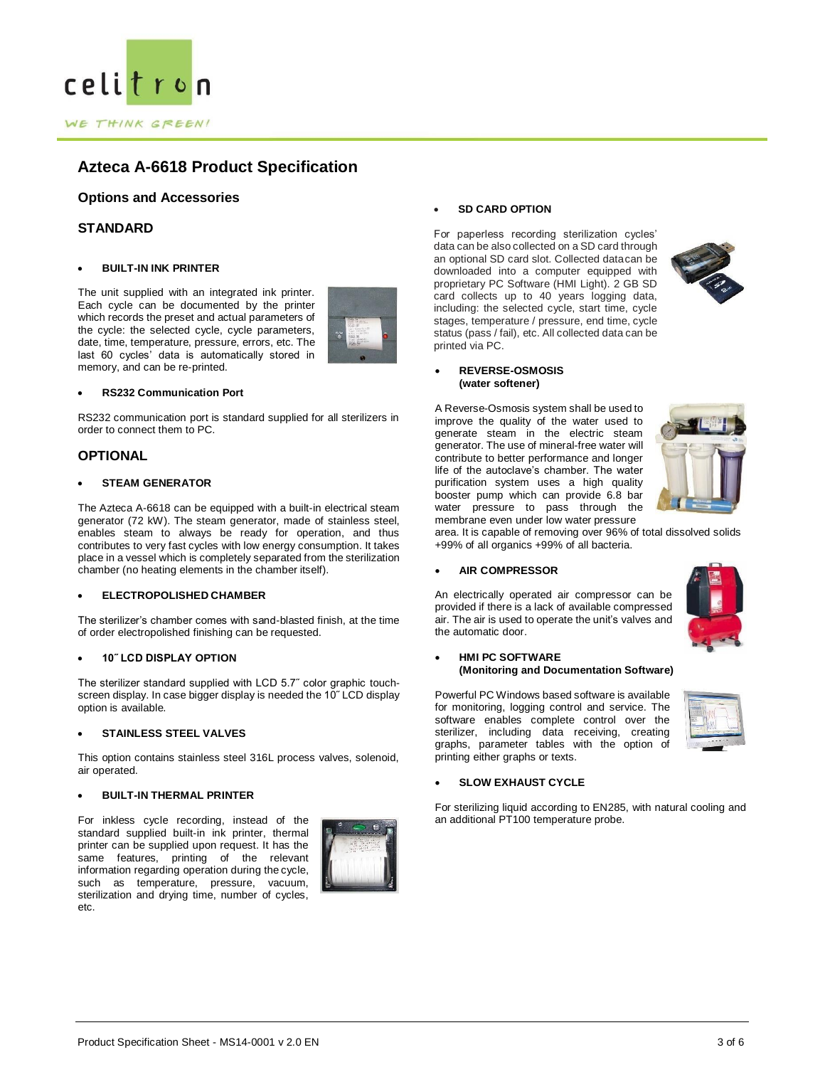

# **Options and Accessories**

# **STANDARD**

## **BUILT-IN INK PRINTER**

The unit supplied with an integrated ink printer. Each cycle can be documented by the printer which records the preset and actual parameters of the cycle: the selected cycle, cycle parameters, date, time, temperature, pressure, errors, etc. The last 60 cycles' data is automatically stored in memory, and can be re-printed.



RS232 communication port is standard supplied for all sterilizers in order to connect them to PC.

# **OPTIONAL**

### **STEAM GENERATOR**

The Azteca A-6618 can be equipped with a built-in electrical steam generator (72 kW). The steam generator, made of stainless steel, enables steam to always be ready for operation, and thus contributes to very fast cycles with low energy consumption. It takes place in a vessel which is completely separated from the sterilization chamber (no heating elements in the chamber itself).

## **ELECTROPOLISHED CHAMBER**

The sterilizer's chamber comes with sand-blasted finish, at the time of order electropolished finishing can be requested.

## **10˝ LCD DISPLAY OPTION**

The sterilizer standard supplied with LCD 5.7˝ color graphic touchscreen display. In case bigger display is needed the 10˝ LCD display option is available.

### **STAINLESS STEEL VALVES**

This option contains stainless steel 316L process valves, solenoid, air operated.

### **BUILT-IN THERMAL PRINTER**

For inkless cycle recording, instead of the standard supplied built-in ink printer, thermal printer can be supplied upon request. It has the same features, printing of the relevant information regarding operation during the cycle, such as temperature, pressure, vacuum, sterilization and drying time, number of cycles, etc.



## **SD CARD OPTION**

For paperless recording sterilization cycles' data can be also collected on a SD card through an optional SD card slot. Collected datacan be downloaded into a computer equipped with proprietary PC Software (HMI Light). 2 GB SD card collects up to 40 years logging data, including: the selected cycle, start time, cycle stages, temperature / pressure, end time, cycle status (pass / fail), etc. All collected data can be printed via PC.



#### **REVERSE-OSMOSIS (water softener)**

A Reverse-Osmosis system shall be used to improve the quality of the water used to generate steam in the electric steam generator. The use of mineral-free water will contribute to better performance and longer life of the autoclave's chamber. The water purification system uses a high quality booster pump which can provide 6.8 bar water pressure to pass through the membrane even under low water pressure



area. It is capable of removing over 96% of total dissolved solids +99% of all organics +99% of all bacteria.

## **AIR COMPRESSOR**



## An electrically operated air compressor can be provided if there is a lack of available compressed air. The air is used to operate the unit's valves and the automatic door.

## **HMI PC SOFTWARE (Monitoring and Documentation Software)**

Powerful PC Windows based software is available for monitoring, logging control and service. The software enables complete control over the sterilizer, including data receiving, creating graphs, parameter tables with the option of printing either graphs or texts.



### **SLOW EXHAUST CYCLE**

For sterilizing liquid according to EN285, with natural cooling and an additional PT100 temperature probe.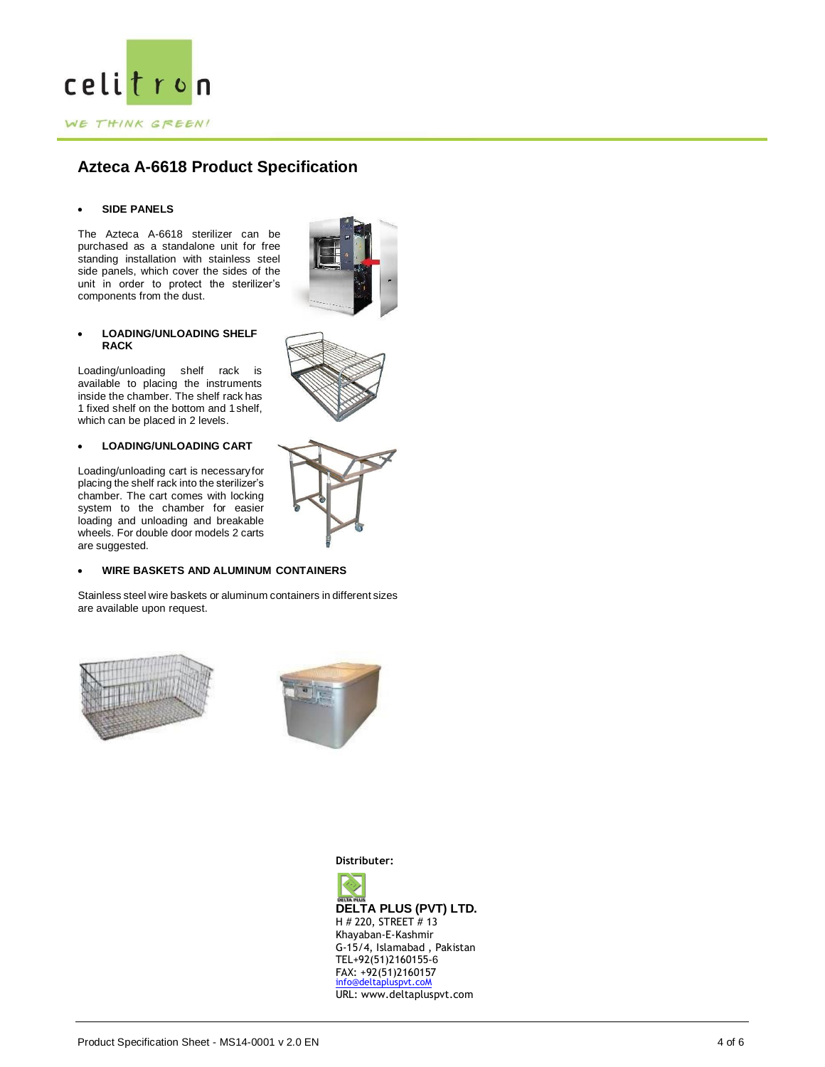

## **SIDE PANELS**

The Azteca A-6618 sterilizer can be purchased as a standalone unit for free standing installation with stainless steel side panels, which cover the sides of the unit in order to protect the sterilizer's components from the dust.



## **LOADING/UNLOADING SHELF RACK**

Loading/unloading shelf rack is available to placing the instruments inside the chamber. The shelf rack has 1 fixed shelf on the bottom and 1shelf, which can be placed in 2 levels.

## **LOADING/UNLOADING CART**

Loading/unloading cart is necessaryfor placing the shelf rack into the sterilizer's chamber. The cart comes with locking system to the chamber for easier loading and unloading and breakable wheels. For double door models 2 carts are suggested.



Stainless steel wire baskets or aluminum containers in different sizes are available upon request.





**Distributer:**

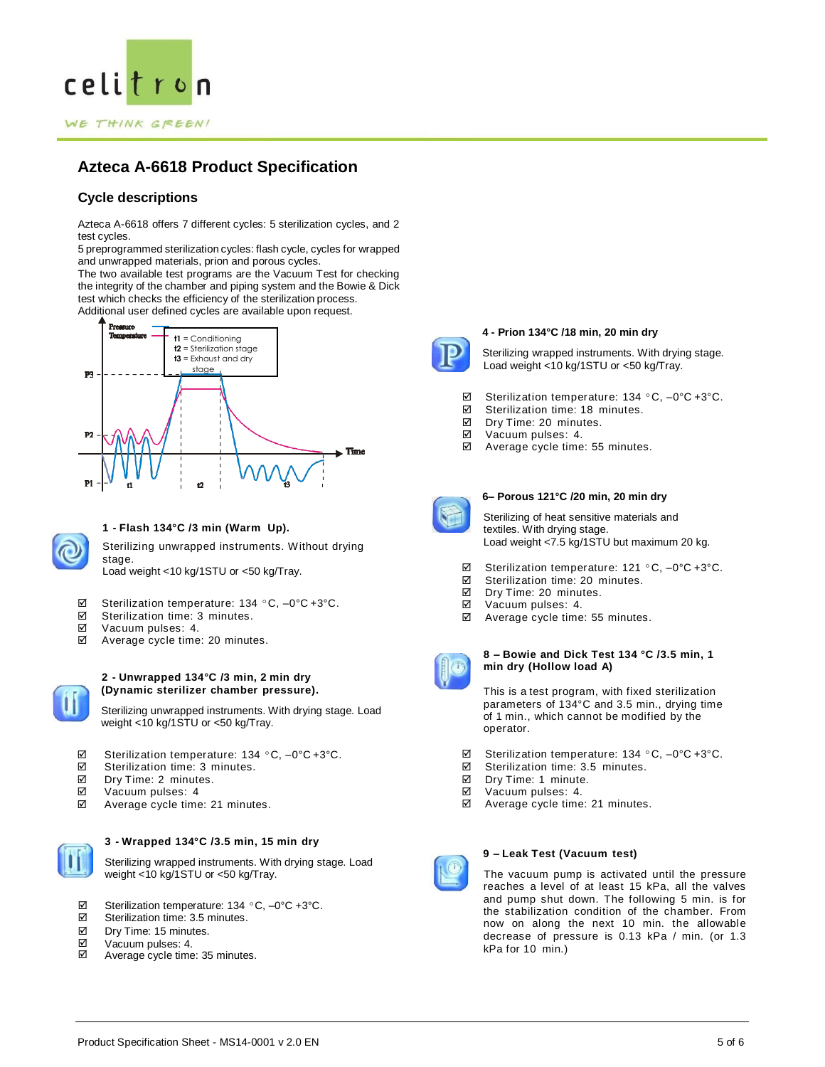

# **Cycle descriptions**

Azteca A-6618 offers 7 different cycles: 5 sterilization cycles, and 2 test cycles.

5 preprogrammed sterilization cycles: flash cycle, cycles for wrapped and unwrapped materials, prion and porous cycles.

The two available test programs are the Vacuum Test for checking the integrity of the chamber and piping system and the Bowie & Dick test which checks the efficiency of the sterilization process.

Additional user defined cycles are available upon request.





# **1 - Flash 134°C /3 min (Warm Up).**

Sterilizing unwrapped instruments. Without drying stage. Load weight <10 kg/1STU or <50 kg/Tray.

- $\boxtimes$  Sterilization temperature: 134 °C, -0°C +3°C.
- $\boxtimes$  Sterilization time: 3 minutes.
- Vacuum pulses: 4.
- Average cycle time: 20 minutes.



#### **2 - Unwrapped 134°C /3 min, 2 min dry (Dynamic sterilizer chamber pressure).**

Sterilizing unwrapped instruments. With drying stage. Load weight <10 kg/1STU or <50 kg/Tray.

- Sterilization temperature: 134 ºC, –0°C +3°C.
- $\boxtimes$  Sterilization time: 3 minutes.<br>  $\boxtimes$  Dry Time: 2 minutes
- Dry Time: 2 minutes.
- Vacuum pulses: 4
- Average cycle time: 21 minutes.



# **3 - Wrapped 134°C /3.5 min, 15 min dry**

Sterilizing wrapped instruments. With drying stage. Load weight <10 kg/1STU or <50 kg/Tray.

- $\boxtimes$  Sterilization temperature: 134 °C, –0°C +3°C.<br>  $\boxtimes$  Sterilization time: 3.5 minutes
- Sterilization time: 3.5 minutes.
- $\overline{\mathsf{M}}$ Dry Time: 15 minutes.
- ☑ Vacuum pulses: 4.
- ⊠ Average cycle time: 35 minutes.



## **4 - Prion 134°C /18 min, 20 min dry**

Sterilizing wrapped instruments. With drying stage. Load weight <10 kg/1STU or <50 kg/Tray.

- $\boxtimes$  Sterilization temperature: 134 °C, -0°C +3°C.
- $\boxtimes$  Sterilization time: 18 minutes.
- Dry Time: 20 minutes.
- Vacuum pulses: 4.
- Average cycle time: 55 minutes.



## **6– Porous 121°C /20 min, 20 min dry**

Sterilizing of heat sensitive materials and textiles. With drying stage. Load weight <7.5 kg/1STU but maximum 20 kg.

- Sterilization temperature: 121 ºC, –0°C +3°C.
- $\boxtimes$  Sterilization time: 20 minutes.
- Dry Time: 20 minutes.
- Vacuum pulses: 4.
- Average cycle time: 55 minutes.



## **8 – Bowie and Dick Test 134 °C /3.5 min, 1 min dry (Hollow load A)**

This is a test program, with fixed sterilization parameters of 134°C and 3.5 min., drying time of 1 min., which cannot be modified by the operator.

- Sterilization temperature: 134 ºC, –0°C +3°C.
- $\boxtimes$  Sterilization time: 3.5 minutes.
- Dry Time: 1 minute.
- Vacuum pulses: 4.
- Average cycle time: 21 minutes.



# **9 – Leak Test (Vacuum test)**

The vacuum pump is activated until the pressure reaches a level of at least 15 kPa, all the valves and pump shut down. The following 5 min. is for the stabilization condition of the chamber. From now on along the next 10 min. the allowable decrease of pressure is 0.13 kPa / min. (or 1.3 kPa for 10 min.)